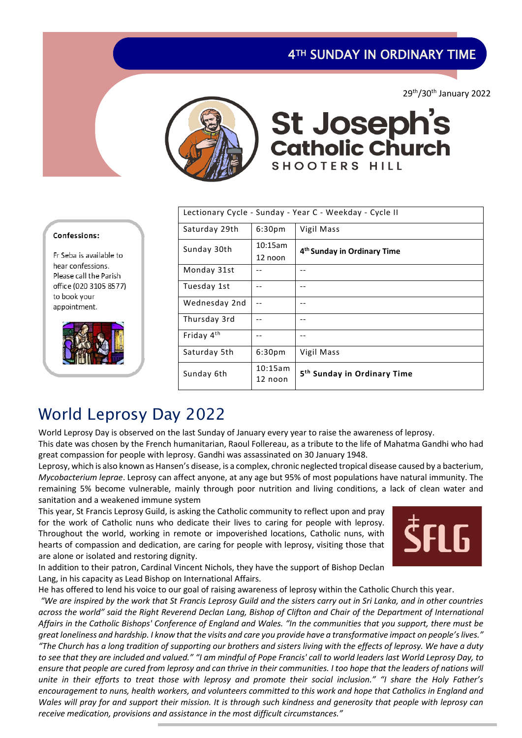### 4TH SUNDAY IN ORDINARY TIME

29th/30th January 2022



# St Joseph's<br>catholic Church SHOOTERS HILL

| Lectionary Cycle - Sunday - Year C - Weekday - Cycle II |                    |                                         |  |  |
|---------------------------------------------------------|--------------------|-----------------------------------------|--|--|
| Saturday 29th                                           | 6:30 <sub>pm</sub> | Vigil Mass                              |  |  |
| Sunday 30th                                             | 10:15am            | 4 <sup>th</sup> Sunday in Ordinary Time |  |  |
|                                                         | 12 noon            |                                         |  |  |
| Monday 31st                                             |                    | --                                      |  |  |
| Tuesday 1st                                             |                    |                                         |  |  |
| Wednesday 2nd                                           |                    |                                         |  |  |
| Thursday 3rd                                            |                    | --                                      |  |  |
| Friday 4 <sup>th</sup>                                  |                    | --                                      |  |  |
| Saturday 5th                                            | 6:30 <sub>pm</sub> | Vigil Mass                              |  |  |
| Sunday 6th                                              | 10:15am<br>12 noon | 5 <sup>th</sup> Sunday in Ordinary Time |  |  |

#### Confessions:

Fr Seba is available to hear confessions. Please call the Parish office (020 3105 8577) to book your appointment.



### World Leprosy Day 2022

World Leprosy Day is observed on the last Sunday of January every year to raise the awareness of leprosy.

This date was chosen by the French humanitarian, Raoul Follereau, as a tribute to the life of Mahatma Gandhi who had great compassion for people with leprosy. Gandhi was assassinated on 30 January 1948.

Leprosy, which is also known as Hansen's disease, is a complex, chronic neglected tropical disease caused by a bacterium, *Mycobacterium leprae*. Leprosy can affect anyone, at any age but 95% of most populations have natural immunity. The remaining 5% become vulnerable, mainly through poor nutrition and living conditions, a lack of clean water and sanitation and a weakened immune system

This year, St Francis Leprosy Guild, is asking the Catholic community to reflect upon and pray for the work of Catholic nuns who dedicate their lives to caring for people with leprosy. Throughout the world, working in remote or impoverished locations, Catholic nuns, with hearts of compassion and dedication, are caring for people with leprosy, visiting those that are alone or isolated and restoring dignity.



In addition to their patron, Cardinal Vincent Nichols, they have the support of Bishop Declan Lang, in his capacity as Lead Bishop on International Affairs.

*receive medication, provisions and assistance in the most difficult circumstances."*

He has offered to lend his voice to our goal of raising awareness of leprosy within the Catholic Church this year.

*"We are inspired by the work that St Francis Leprosy Guild and the sisters carry out in Sri Lanka, and in other countries across the world" said the Right Reverend Declan Lang, Bishop of Clifton and Chair of the Department of International Affairs in the Catholic Bishops' Conference of England and Wales. "In the communities that you support, there must be great loneliness and hardship. I know that the visits and care you provide have a transformative impact on people's lives." "The Church has a long tradition of supporting our brothers and sisters living with the effects of leprosy. We have a duty to see that they are included and valued." "I am mindful of Pope Francis' call to world leaders last World Leprosy Day, to ensure that people are cured from leprosy and can thrive in their communities. I too hope that the leaders of nations will unite in their efforts to treat those with leprosy and promote their social inclusion." "I share the Holy Father's encouragement to nuns, health workers, and volunteers committed to this work and hope that Catholics in England and* 

*Wales will pray for and support their mission. It is through such kindness and generosity that people with leprosy can*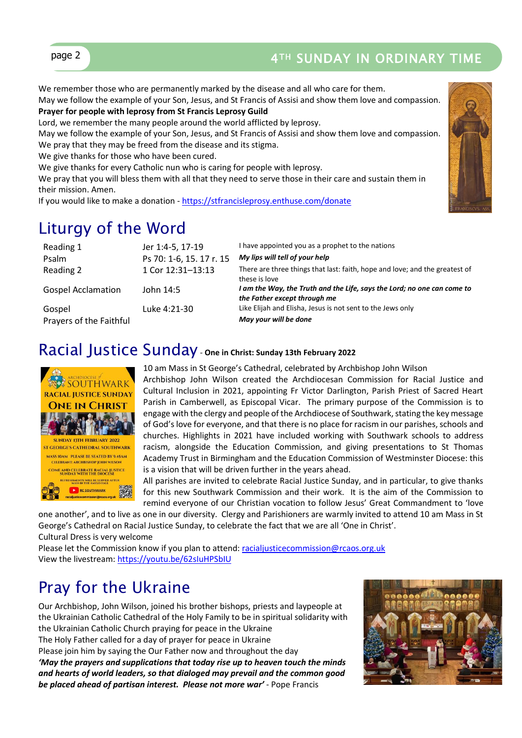

### page 2 2 2 4TH SUNDAY IN ORDINARY TIME

We remember those who are permanently marked by the disease and all who care for them.

May we follow the example of your Son, Jesus, and St Francis of Assisi and show them love and compassion. **Prayer for people with leprosy from St Francis Leprosy Guild**

Lord, we remember the many people around the world afflicted by leprosy.

May we follow the example of your Son, Jesus, and St Francis of Assisi and show them love and compassion. We pray that they may be freed from the disease and its stigma.

We give thanks for those who have been cured.

We give thanks for every Catholic nun who is caring for people with leprosy.

We pray that you will bless them with all that they need to serve those in their care and sustain them in their mission. Amen.

If you would like to make a donation - <https://stfrancisleprosy.enthuse.com/donate>

### Liturgy of the Word

| Reading 1                 | Jer 1:4-5, 17-19         | I have appointed you as a prophet to the nations                                                        |
|---------------------------|--------------------------|---------------------------------------------------------------------------------------------------------|
| Psalm                     | Ps 70: 1-6, 15. 17 r. 15 | My lips will tell of your help                                                                          |
| Reading 2                 | 1 Cor 12:31-13:13        | There are three things that last: faith, hope and love; and the greatest of<br>these is love            |
| <b>Gospel Acclamation</b> | John 14:5                | I am the Way, the Truth and the Life, says the Lord; no one can come to<br>the Father except through me |
| Gospel                    | Luke 4:21-30             | Like Elijah and Elisha, Jesus is not sent to the Jews only                                              |
| Prayers of the Faithful   |                          | May your will be done                                                                                   |

### Racial Justice Sunday- **One in Christ: Sunday 13th February 2022**



10 am Mass in St George's Cathedral, celebrated by Archbishop John Wilson

Archbishop John Wilson created the Archdiocesan Commission for Racial Justice and Cultural Inclusion in 2021, appointing Fr Victor Darlington, Parish Priest of Sacred Heart Parish in Camberwell, as Episcopal Vicar. The primary purpose of the Commission is to engage with the clergy and people of the Archdiocese of Southwark, stating the key message of God's love for everyone, and that there is no place for racism in our parishes, schools and churches. Highlights in 2021 have included working with Southwark schools to address racism, alongside the Education Commission, and giving presentations to St Thomas Academy Trust in Birmingham and the Education Commission of Westminster Diocese: this is a vision that will be driven further in the years ahead.

All parishes are invited to celebrate Racial Justice Sunday, and in particular, to give thanks for this new Southwark Commission and their work. It is the aim of the Commission to remind everyone of our Christian vocation to follow Jesus' Great Commandment to 'love

one another', and to live as one in our diversity. Clergy and Parishioners are warmly invited to attend 10 am Mass in St George's Cathedral on Racial Justice Sunday, to celebrate the fact that we are all 'One in Christ'. Cultural Dress is very welcome

Please let the Commission know if you plan to attend: [racialjusticecommission@rcaos.org.uk](mailto:racialjusticecommission@rcaos.org.uk) View the livestream:<https://youtu.be/62sIuHPSbIU>

### Pray for the Ukraine

Our Archbishop, John Wilson, joined his brother bishops, priests and laypeople at the Ukrainian Catholic Cathedral of the Holy Family to be in spiritual solidarity with the Ukrainian Catholic Church praying for peace in the Ukraine The Holy Father called for a day of prayer for peace in Ukraine Please join him by saying the Our Father now and throughout the day *'May the prayers and supplications that today rise up to heaven touch the minds and hearts of world leaders, so that dialoged may prevail and the common good be placed ahead of partisan interest. Please not more war'* - Pope Francis

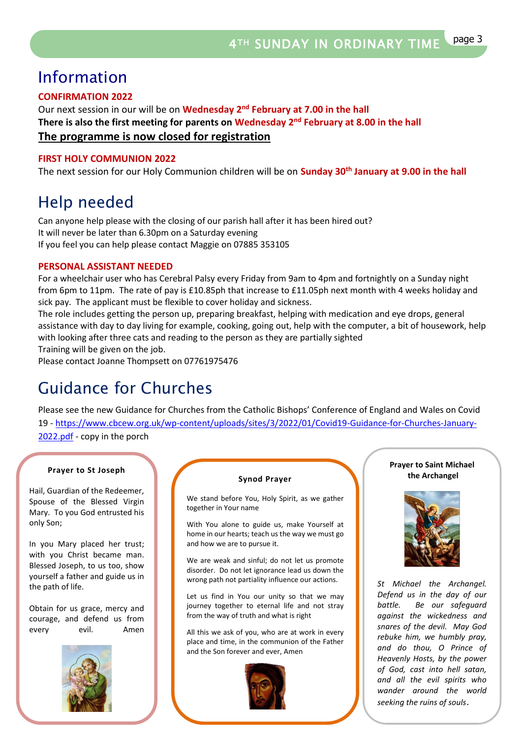### Information

### **CONFIRMATION 2022**

Our next session in our will be on **Wednesday 2<sup>nd</sup> February at 7.00 in the hall There is also the first meeting for parents on Wednesday 2nd February at 8.00 in the hall The programme is now closed for registration**

#### **FIRST HOLY COMMUNION 2022**

The next session for our Holy Communion children will be on **Sunday 30th January at 9.00 in the hall**

### Help needed

Can anyone help please with the closing of our parish hall after it has been hired out? It will never be later than 6.30pm on a Saturday evening If you feel you can help please contact Maggie on 07885 353105

#### **PERSONAL ASSISTANT NEEDED**

For a wheelchair user who has Cerebral Palsy every Friday from 9am to 4pm and fortnightly on a Sunday night from 6pm to 11pm. The rate of pay is £10.85ph that increase to £11.05ph next month with 4 weeks holiday and sick pay. The applicant must be flexible to cover holiday and sickness.

The role includes getting the person up, preparing breakfast, helping with medication and eye drops, general assistance with day to day living for example, cooking, going out, help with the computer, a bit of housework, help with looking after three cats and reading to the person as they are partially sighted

Training will be given on the job.

Please contact Joanne Thompsett on 07761975476

## Guidance for Churches

Please see the new Guidance for Churches from the Catholic Bishops' Conference of England and Wales on Covid 19 - [https://www.cbcew.org.uk/wp-content/uploads/sites/3/2022/01/Covid19-Guidance-for-Churches-January-](https://www.cbcew.org.uk/wp-content/uploads/sites/3/2022/01/Covid19-Guidance-for-Churches-January-2022.pdf)[2022.pdf](https://www.cbcew.org.uk/wp-content/uploads/sites/3/2022/01/Covid19-Guidance-for-Churches-January-2022.pdf) - copy in the porch

#### **Prayer to St Joseph**

Hail, Guardian of the Redeemer, Spouse of the Blessed Virgin Mary. To you God entrusted his only Son;

In you Mary placed her trust; with you Christ became man. Blessed Joseph, to us too, show yourself a father and guide us in the path of life.

Obtain for us grace, mercy and courage, and defend us from every evil. Amen



#### **Synod Prayer**

We stand before You, Holy Spirit, as we gather together in Your name

With You alone to guide us, make Yourself at home in our hearts; teach us the way we must go and how we are to pursue it.

We are weak and sinful; do not let us promote disorder. Do not let ignorance lead us down the wrong path not partiality influence our actions.

Let us find in You our unity so that we may journey together to eternal life and not stray from the way of truth and what is right

All this we ask of you, who are at work in every place and time, in the communion of the Father and the Son forever and ever, Amen



#### **Prayer to Saint Michael the Archangel**



*St Michael the Archangel. Defend us in the day of our battle. Be our safeguard against the wickedness and snares of the devil. May God rebuke him, we humbly pray, and do thou, O Prince of Heavenly Hosts, by the power of God, cast into hell satan, and all the evil spirits who wander around the world seeking the ruins of souls*.